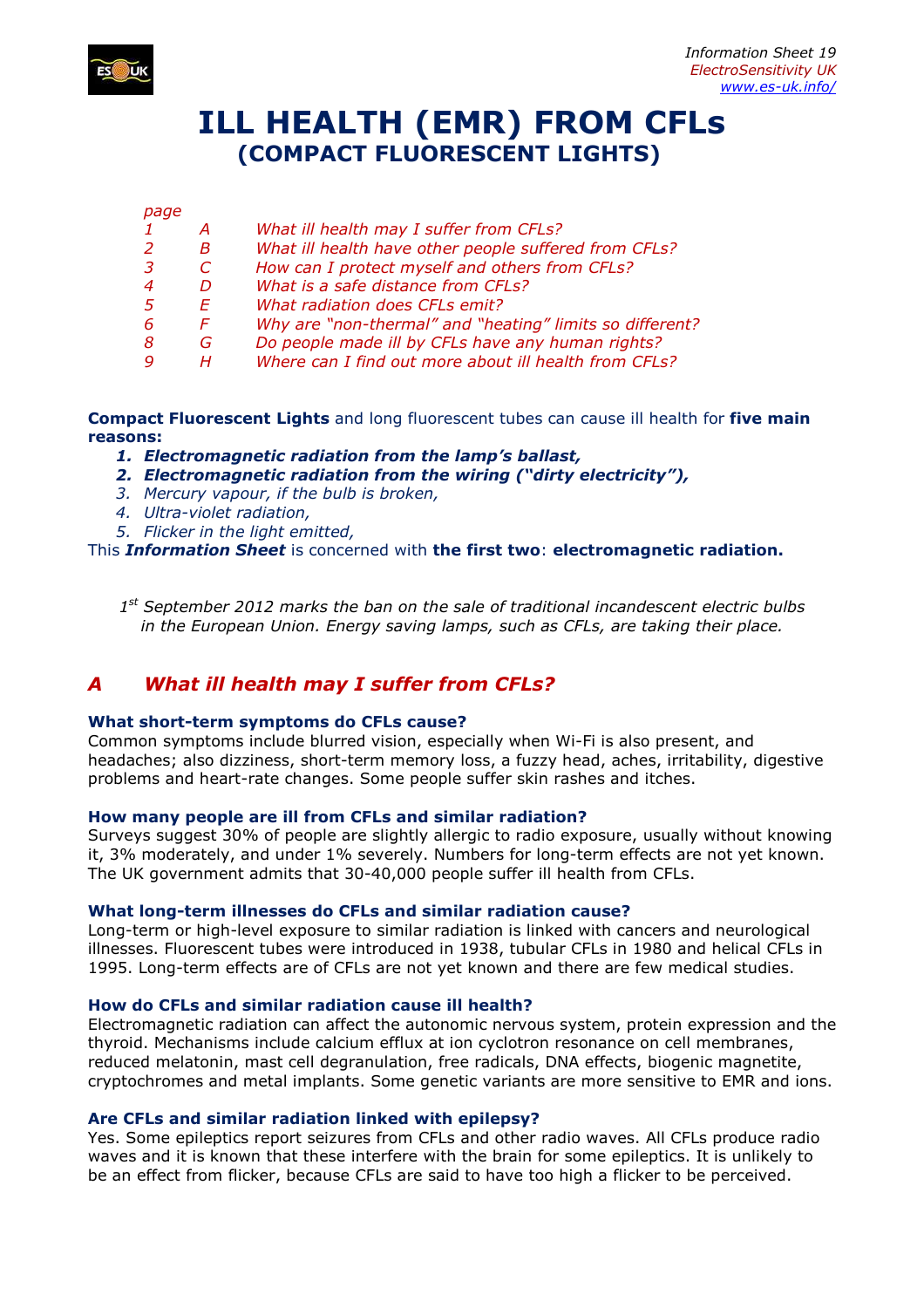

# **ILL HEALTH (EMR) FROM CFLs (COMPACT FLUORESCENT LIGHTS)**

#### *page*

| 1 | A  | What ill health may I suffer from CFLs?                  |
|---|----|----------------------------------------------------------|
| 2 | B. | What ill health have other people suffered from CFLs?    |
| 3 | C. | How can I protect myself and others from CFLs?           |
| 4 | D. | What is a safe distance from CFLs?                       |
| 5 | F. | What radiation does CFLs emit?                           |
| 6 | F. | Why are "non-thermal" and "heating" limits so different? |
| 8 | G. | Do people made ill by CFLs have any human rights?        |
| 9 |    | Where can I find out more about ill health from CFLs?    |

**Compact Fluorescent Lights** and long fluorescent tubes can cause ill health for **five main reasons:** 

*1. Electromagnetic radiation from the lamp's ballast,* 

- *2. Electromagnetic radiation from the wiring ("dirty electricity"),*
- *3. Mercury vapour, if the bulb is broken,*
- *4. Ultra-violet radiation,*
- *5. Flicker in the light emitted,*

This *Information Sheet* is concerned with **the first two**: **electromagnetic radiation.**

*1 st September 2012 marks the ban on the sale of traditional incandescent electric bulbs in the European Union. Energy saving lamps, such as CFLs, are taking their place.* 

# *A What ill health may I suffer from CFLs?*

#### **What short-term symptoms do CFLs cause?**

Common symptoms include blurred vision, especially when Wi-Fi is also present, and headaches; also dizziness, short-term memory loss, a fuzzy head, aches, irritability, digestive problems and heart-rate changes. Some people suffer skin rashes and itches.

#### **How many people are ill from CFLs and similar radiation?**

Surveys suggest 30% of people are slightly allergic to radio exposure, usually without knowing it, 3% moderately, and under 1% severely. Numbers for long-term effects are not yet known. The UK government admits that 30-40,000 people suffer ill health from CFLs.

#### **What long-term illnesses do CFLs and similar radiation cause?**

Long-term or high-level exposure to similar radiation is linked with cancers and neurological illnesses. Fluorescent tubes were introduced in 1938, tubular CFLs in 1980 and helical CFLs in 1995. Long-term effects are of CFLs are not yet known and there are few medical studies.

#### **How do CFLs and similar radiation cause ill health?**

Electromagnetic radiation can affect the autonomic nervous system, protein expression and the thyroid. Mechanisms include calcium efflux at ion cyclotron resonance on cell membranes, reduced melatonin, mast cell degranulation, free radicals, DNA effects, biogenic magnetite, cryptochromes and metal implants. Some genetic variants are more sensitive to EMR and ions.

#### **Are CFLs and similar radiation linked with epilepsy?**

Yes. Some epileptics report seizures from CFLs and other radio waves. All CFLs produce radio waves and it is known that these interfere with the brain for some epileptics. It is unlikely to be an effect from flicker, because CFLs are said to have too high a flicker to be perceived.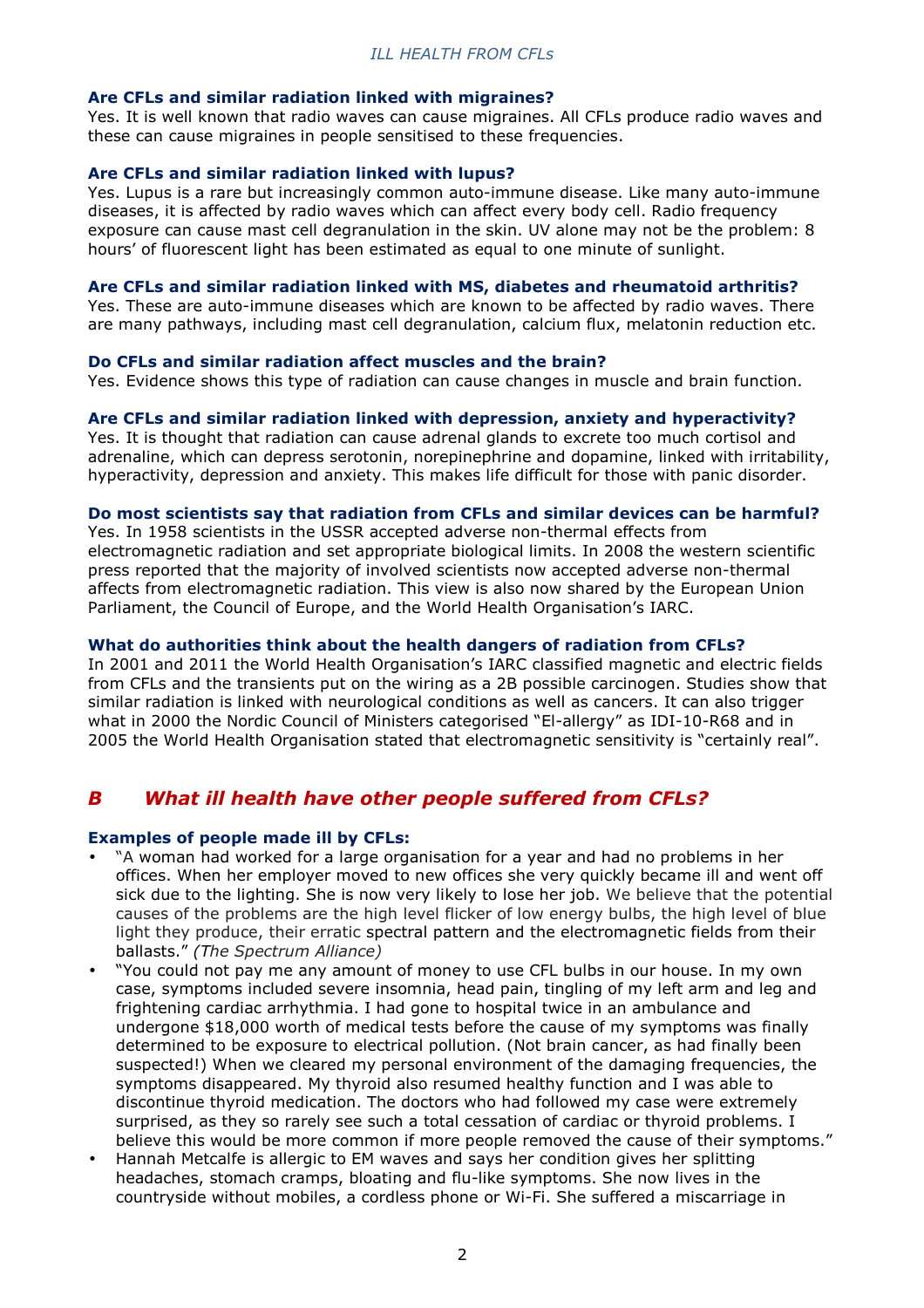#### **Are CFLs and similar radiation linked with migraines?**

Yes. It is well known that radio waves can cause migraines. All CFLs produce radio waves and these can cause migraines in people sensitised to these frequencies.

### **Are CFLs and similar radiation linked with lupus?**

Yes. Lupus is a rare but increasingly common auto-immune disease. Like many auto-immune diseases, it is affected by radio waves which can affect every body cell. Radio frequency exposure can cause mast cell degranulation in the skin. UV alone may not be the problem: 8 hours' of fluorescent light has been estimated as equal to one minute of sunlight.

# **Are CFLs and similar radiation linked with MS, diabetes and rheumatoid arthritis?**

Yes. These are auto-immune diseases which are known to be affected by radio waves. There are many pathways, including mast cell degranulation, calcium flux, melatonin reduction etc.

#### **Do CFLs and similar radiation affect muscles and the brain?**

Yes. Evidence shows this type of radiation can cause changes in muscle and brain function.

# **Are CFLs and similar radiation linked with depression, anxiety and hyperactivity?**

Yes. It is thought that radiation can cause adrenal glands to excrete too much cortisol and adrenaline, which can depress serotonin, norepinephrine and dopamine, linked with irritability, hyperactivity, depression and anxiety. This makes life difficult for those with panic disorder.

# **Do most scientists say that radiation from CFLs and similar devices can be harmful?**

Yes. In 1958 scientists in the USSR accepted adverse non-thermal effects from electromagnetic radiation and set appropriate biological limits. In 2008 the western scientific press reported that the majority of involved scientists now accepted adverse non-thermal affects from electromagnetic radiation. This view is also now shared by the European Union Parliament, the Council of Europe, and the World Health Organisation's IARC.

# **What do authorities think about the health dangers of radiation from CFLs?**

In 2001 and 2011 the World Health Organisation's IARC classified magnetic and electric fields from CFLs and the transients put on the wiring as a 2B possible carcinogen. Studies show that similar radiation is linked with neurological conditions as well as cancers. It can also trigger what in 2000 the Nordic Council of Ministers categorised "El-allergy" as IDI-10-R68 and in 2005 the World Health Organisation stated that electromagnetic sensitivity is "certainly real".

# *B What ill health have other people suffered from CFLs?*

# **Examples of people made ill by CFLs:**

- "A woman had worked for a large organisation for a year and had no problems in her offices. When her employer moved to new offices she very quickly became ill and went off sick due to the lighting. She is now very likely to lose her job. We believe that the potential causes of the problems are the high level flicker of low energy bulbs, the high level of blue light they produce, their erratic spectral pattern and the electromagnetic fields from their ballasts." *(The Spectrum Alliance)*
- "You could not pay me any amount of money to use CFL bulbs in our house. In my own case, symptoms included severe insomnia, head pain, tingling of my left arm and leg and frightening cardiac arrhythmia. I had gone to hospital twice in an ambulance and undergone \$18,000 worth of medical tests before the cause of my symptoms was finally determined to be exposure to electrical pollution. (Not brain cancer, as had finally been suspected!) When we cleared my personal environment of the damaging frequencies, the symptoms disappeared. My thyroid also resumed healthy function and I was able to discontinue thyroid medication. The doctors who had followed my case were extremely surprised, as they so rarely see such a total cessation of cardiac or thyroid problems. I believe this would be more common if more people removed the cause of their symptoms."
- Hannah Metcalfe is allergic to EM waves and says her condition gives her splitting headaches, stomach cramps, bloating and flu-like symptoms. She now lives in the countryside without mobiles, a cordless phone or Wi-Fi. She suffered a miscarriage in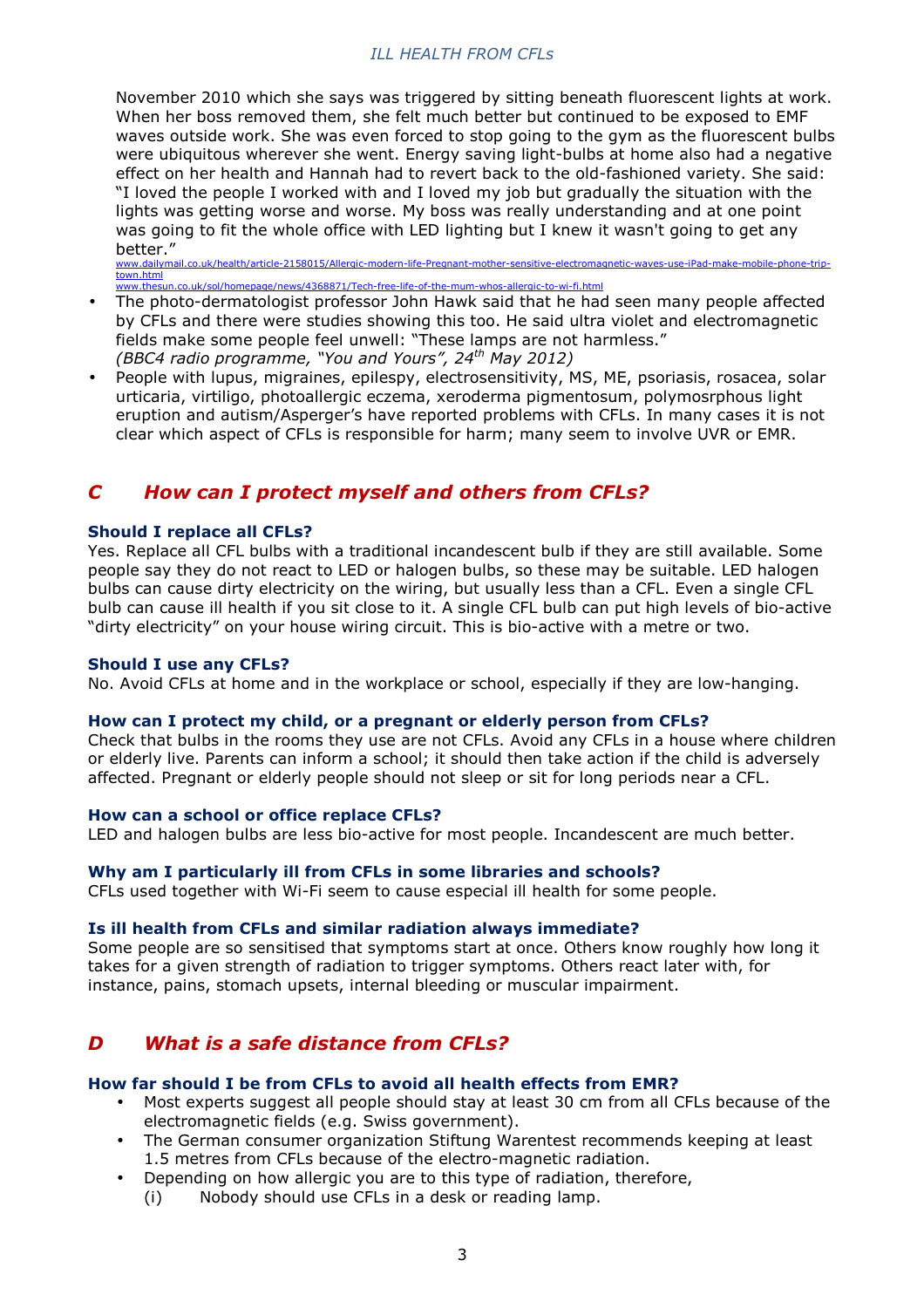November 2010 which she says was triggered by sitting beneath fluorescent lights at work. When her boss removed them, she felt much better but continued to be exposed to EMF waves outside work. She was even forced to stop going to the gym as the fluorescent bulbs were ubiquitous wherever she went. Energy saving light-bulbs at home also had a negative effect on her health and Hannah had to revert back to the old-fashioned variety. She said: "I loved the people I worked with and I loved my job but gradually the situation with the lights was getting worse and worse. My boss was really understanding and at one point was going to fit the whole office with LED lighting but I knew it wasn't going to get any better."<br>www.dailymail.co

uk/health/article-2158015/Allergic-modern-life-Pregnant-mother-sensitive-electromagnetic-waves-use-iPad-make-mobile town.html www.thesun.co.uk/sol/homepage/news/4368871/Tech-free-life-of-the-mum-whos-allergic-to-wi-fi.html

- The photo-dermatologist professor John Hawk said that he had seen many people affected by CFLs and there were studies showing this too. He said ultra violet and electromagnetic fields make some people feel unwell: "These lamps are not harmless." *(BBC4 radio programme, "You and Yours", 24th May 2012)*
- People with lupus, migraines, epilespy, electrosensitivity, MS, ME, psoriasis, rosacea, solar urticaria, virtiligo, photoallergic eczema, xeroderma pigmentosum, polymosrphous light eruption and autism/Asperger's have reported problems with CFLs. In many cases it is not clear which aspect of CFLs is responsible for harm; many seem to involve UVR or EMR.

# *C How can I protect myself and others from CFLs?*

# **Should I replace all CFLs?**

Yes. Replace all CFL bulbs with a traditional incandescent bulb if they are still available. Some people say they do not react to LED or halogen bulbs, so these may be suitable. LED halogen bulbs can cause dirty electricity on the wiring, but usually less than a CFL. Even a single CFL bulb can cause ill health if you sit close to it. A single CFL bulb can put high levels of bio-active "dirty electricity" on your house wiring circuit. This is bio-active with a metre or two.

#### **Should I use any CFLs?**

No. Avoid CFLs at home and in the workplace or school, especially if they are low-hanging.

#### **How can I protect my child, or a pregnant or elderly person from CFLs?**

Check that bulbs in the rooms they use are not CFLs. Avoid any CFLs in a house where children or elderly live. Parents can inform a school; it should then take action if the child is adversely affected. Pregnant or elderly people should not sleep or sit for long periods near a CFL.

#### **How can a school or office replace CFLs?**

LED and halogen bulbs are less bio-active for most people. Incandescent are much better.

#### **Why am I particularly ill from CFLs in some libraries and schools?**

CFLs used together with Wi-Fi seem to cause especial ill health for some people.

#### **Is ill health from CFLs and similar radiation always immediate?**

Some people are so sensitised that symptoms start at once. Others know roughly how long it takes for a given strength of radiation to trigger symptoms. Others react later with, for instance, pains, stomach upsets, internal bleeding or muscular impairment.

# *D What is a safe distance from CFLs?*

#### **How far should I be from CFLs to avoid all health effects from EMR?**

- Most experts suggest all people should stay at least 30 cm from all CFLs because of the electromagnetic fields (e.g. Swiss government).
- The German consumer organization Stiftung Warentest recommends keeping at least 1.5 metres from CFLs because of the electro-magnetic radiation.
- Depending on how allergic you are to this type of radiation, therefore,
	- (i) Nobody should use CFLs in a desk or reading lamp.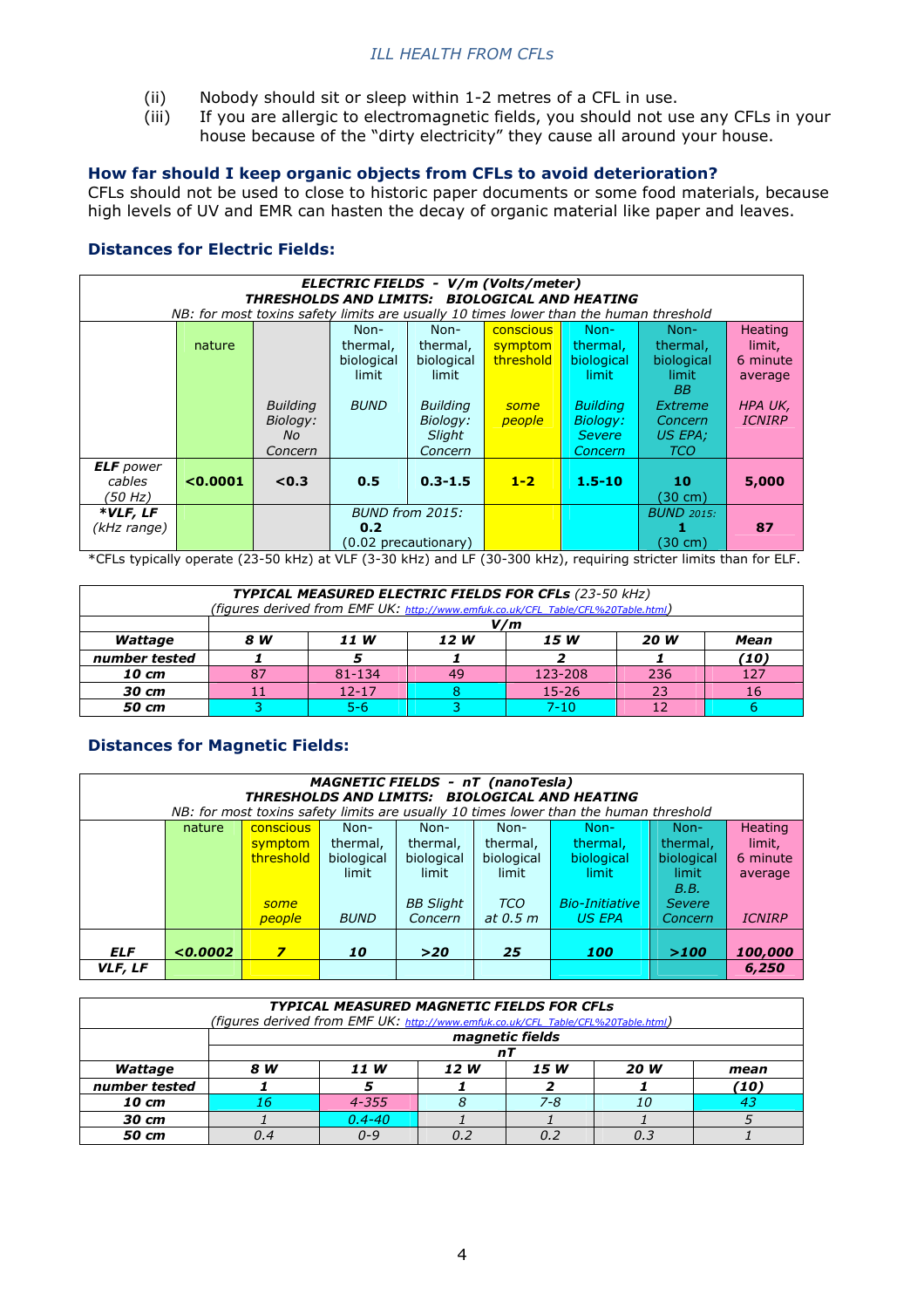- (ii) Nobody should sit or sleep within 1-2 metres of a CFL in use.
- (iii) If you are allergic to electromagnetic fields, you should not use any CFLs in your house because of the "dirty electricity" they cause all around your house.

# **How far should I keep organic objects from CFLs to avoid deterioration?**

CFLs should not be used to close to historic paper documents or some food materials, because high levels of UV and EMR can hasten the decay of organic material like paper and leaves.

# **Distances for Electric Fields:**

| ELECTRIC FIELDS - V/m (Volts/meter)<br>THRESHOLDS AND LIMITS: BIOLOGICAL AND HEATING |                                                                                       |                 |             |                      |           |                   |            |               |  |  |  |
|--------------------------------------------------------------------------------------|---------------------------------------------------------------------------------------|-----------------|-------------|----------------------|-----------|-------------------|------------|---------------|--|--|--|
|                                                                                      | NB: for most toxins safety limits are usually 10 times lower than the human threshold |                 |             |                      |           |                   |            |               |  |  |  |
|                                                                                      | Heating<br>$Non-$<br>Non-<br>conscious<br>Non-<br>Non-                                |                 |             |                      |           |                   |            |               |  |  |  |
|                                                                                      | nature                                                                                |                 | thermal,    | thermal,             | symptom   | thermal.          | thermal,   | limit,        |  |  |  |
|                                                                                      |                                                                                       |                 | biological  | biological           | threshold | biological        | biological | 6 minute      |  |  |  |
|                                                                                      |                                                                                       |                 | limit       | limit                |           | limit             | limit      | average       |  |  |  |
|                                                                                      |                                                                                       |                 |             |                      |           |                   | BB         |               |  |  |  |
|                                                                                      |                                                                                       | <b>Building</b> | <b>BUND</b> | <b>Building</b>      | some      | <b>Building</b>   | Extreme    | HPA UK,       |  |  |  |
|                                                                                      |                                                                                       | Biology:        |             | Biology:             | people    | <b>Biology:</b>   | Concern    | <b>ICNIRP</b> |  |  |  |
|                                                                                      |                                                                                       | No.             |             | Slight               |           | <b>Severe</b>     | US EPA;    |               |  |  |  |
|                                                                                      |                                                                                       | Concern         |             | Concern              |           | Concern           | <b>TCO</b> |               |  |  |  |
| <b>ELF</b> power                                                                     |                                                                                       |                 |             |                      |           |                   |            |               |  |  |  |
| cables                                                                               | < 0.0001                                                                              | < 0.3           | 0.5         | $0.3 - 1.5$          | $1 - 2$   | $1.5 - 10$        | 10         | 5,000         |  |  |  |
| (50 Hz)                                                                              |                                                                                       |                 |             | (30 cm)              |           |                   |            |               |  |  |  |
| *VLF, LF                                                                             |                                                                                       |                 |             | BUND from 2015:      |           | <b>BUND 2015:</b> |            |               |  |  |  |
| (kHz range)                                                                          |                                                                                       |                 | 0.2         |                      |           |                   |            | 87            |  |  |  |
|                                                                                      |                                                                                       |                 |             | (0.02 precautionary) |           |                   | (30 cm)    |               |  |  |  |

\*CFLs typically operate (23-50 kHz) at VLF (3-30 kHz) and LF (30-300 kHz), requiring stricter limits than for ELF.

| TYPICAL MEASURED ELECTRIC FIELDS FOR CFLs (23-50 kHz)<br>(figures derived from EMF UK: http://www.emfuk.co.uk/CFL_Table/CFL%20Table.html) |                                             |         |  |          |  |      |  |  |  |
|-------------------------------------------------------------------------------------------------------------------------------------------|---------------------------------------------|---------|--|----------|--|------|--|--|--|
|                                                                                                                                           | V/m                                         |         |  |          |  |      |  |  |  |
| Wattage                                                                                                                                   | 8 W<br>11 W<br>12 W<br>15 W<br>20 W<br>Mean |         |  |          |  |      |  |  |  |
| number tested                                                                                                                             |                                             |         |  |          |  | (10) |  |  |  |
| 10 cm                                                                                                                                     | 87<br>123-208<br>236<br>81-134<br>49        |         |  |          |  |      |  |  |  |
| 30 cm                                                                                                                                     | $15 - 26$<br>$12 - 17$<br>23<br>16          |         |  |          |  |      |  |  |  |
| 50 cm                                                                                                                                     |                                             | $5 - 6$ |  | $7 - 10$ |  |      |  |  |  |

# **Distances for Magnetic Fields:**

| <b>MAGNETIC FIELDS - nT (nanoTesla)</b><br>THRESHOLDS AND LIMITS: BIOLOGICAL AND HEATING |                                                                                                                                                                                                                                                                                                                                                                                                                                                                                                            |        |                   |                  |                |                      |                 |                          |  |
|------------------------------------------------------------------------------------------|------------------------------------------------------------------------------------------------------------------------------------------------------------------------------------------------------------------------------------------------------------------------------------------------------------------------------------------------------------------------------------------------------------------------------------------------------------------------------------------------------------|--------|-------------------|------------------|----------------|----------------------|-----------------|--------------------------|--|
|                                                                                          | NB: for most toxins safety limits are usually 10 times lower than the human threshold<br><b>Heating</b><br>Non-<br>conscious<br>Non-<br>Non-<br>Non-<br>Non-<br>nature<br>thermal,<br>limit,<br>thermal,<br>thermal,<br>thermal,<br>thermal,<br>symptom<br>threshold<br>biological<br>biological<br>biological<br>biological<br>biological<br>6 minute<br>limit<br>limit<br>limit<br>limit<br>limit<br>average<br>B.B.<br><b>BB Slight</b><br><b>TCO</b><br><b>Bio-Initiative</b><br><b>Severe</b><br>some |        |                   |                  |                |                      |                 |                          |  |
| <b>ELF</b>                                                                               | 0.0002                                                                                                                                                                                                                                                                                                                                                                                                                                                                                                     | people | <b>BUND</b><br>10 | Concern<br>$>20$ | at 0.5 m<br>25 | <b>US EPA</b><br>100 | Concern<br>>100 | <b>ICNIRP</b><br>100,000 |  |
| VLF, LF                                                                                  |                                                                                                                                                                                                                                                                                                                                                                                                                                                                                                            |        |                   |                  |                |                      |                 | 6,250                    |  |

| <b>TYPICAL MEASURED MAGNETIC FIELDS FOR CFLS</b><br>(figures derived from EMF UK: http://www.emfuk.co.uk/CFL Table/CFL%20Table.html) |                                     |            |  |         |     |      |  |  |  |  |
|--------------------------------------------------------------------------------------------------------------------------------------|-------------------------------------|------------|--|---------|-----|------|--|--|--|--|
|                                                                                                                                      | magnetic fields                     |            |  |         |     |      |  |  |  |  |
|                                                                                                                                      | nı                                  |            |  |         |     |      |  |  |  |  |
| Wattage                                                                                                                              | 15 W<br>20 W<br>8 W<br>11 W<br>12 W |            |  |         |     |      |  |  |  |  |
| number tested                                                                                                                        |                                     |            |  |         |     | (10) |  |  |  |  |
| 10 cm                                                                                                                                | 16                                  | $4 - 355$  |  | $7 - 8$ | 10  |      |  |  |  |  |
| 30 cm                                                                                                                                |                                     | $0.4 - 40$ |  |         |     |      |  |  |  |  |
| 50 cm                                                                                                                                | 0.4                                 | $0 - 9$    |  | 0.7     | 0.3 |      |  |  |  |  |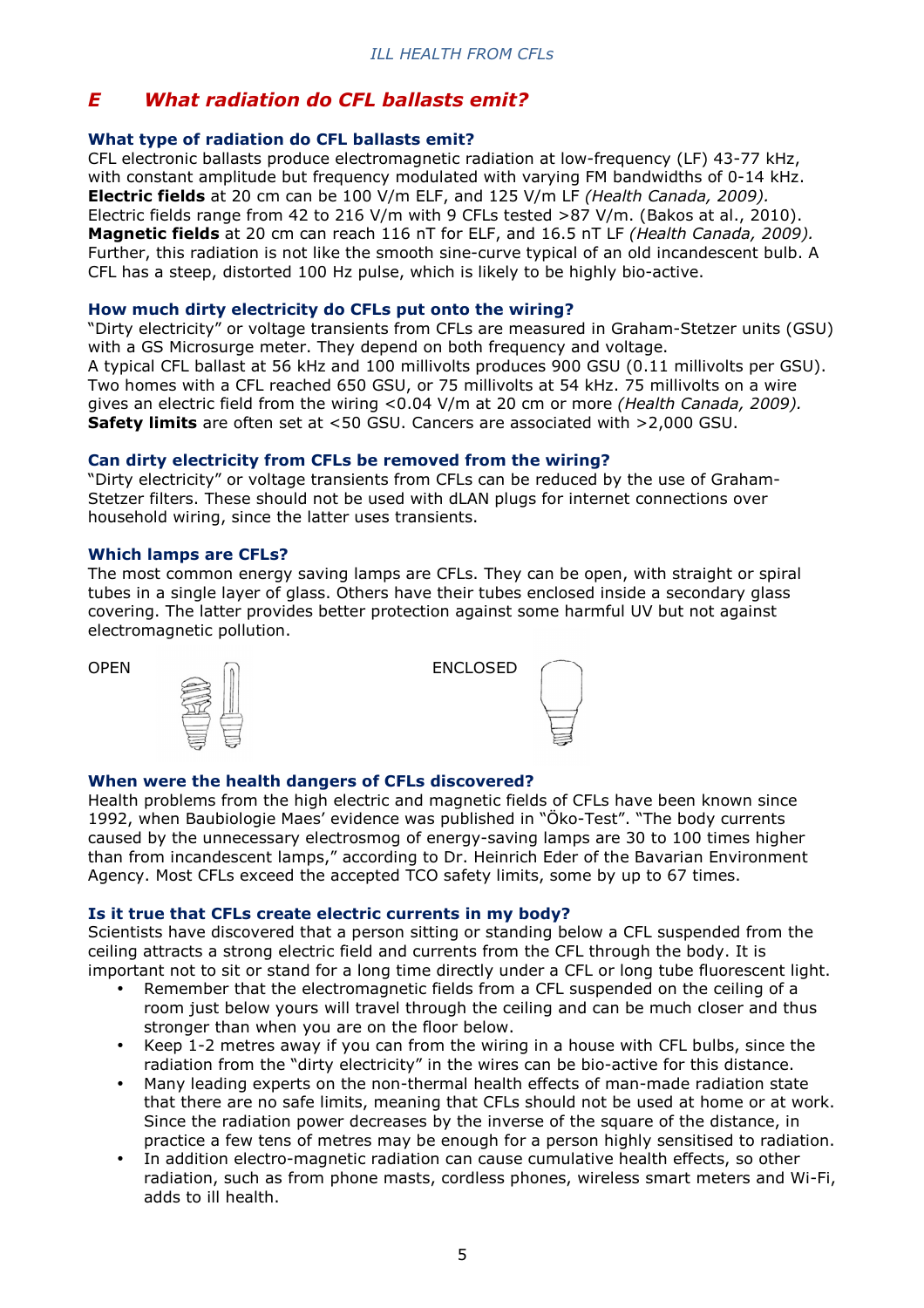# *E What radiation do CFL ballasts emit?*

# **What type of radiation do CFL ballasts emit?**

CFL electronic ballasts produce electromagnetic radiation at low-frequency (LF) 43-77 kHz, with constant amplitude but frequency modulated with varying FM bandwidths of 0-14 kHz. **Electric fields** at 20 cm can be 100 V/m ELF, and 125 V/m LF *(Health Canada, 2009).*  Electric fields range from 42 to 216 V/m with 9 CFLs tested >87 V/m. (Bakos at al., 2010). **Magnetic fields** at 20 cm can reach 116 nT for ELF, and 16.5 nT LF *(Health Canada, 2009).* Further, this radiation is not like the smooth sine-curve typical of an old incandescent bulb. A CFL has a steep, distorted 100 Hz pulse, which is likely to be highly bio-active.

### **How much dirty electricity do CFLs put onto the wiring?**

"Dirty electricity" or voltage transients from CFLs are measured in Graham-Stetzer units (GSU) with a GS Microsurge meter. They depend on both frequency and voltage. A typical CFL ballast at 56 kHz and 100 millivolts produces 900 GSU (0.11 millivolts per GSU). Two homes with a CFL reached 650 GSU, or 75 millivolts at 54 kHz. 75 millivolts on a wire gives an electric field from the wiring <0.04 V/m at 20 cm or more *(Health Canada, 2009).* **Safety limits** are often set at <50 GSU. Cancers are associated with >2,000 GSU.

# **Can dirty electricity from CFLs be removed from the wiring?**

"Dirty electricity" or voltage transients from CFLs can be reduced by the use of Graham-Stetzer filters. These should not be used with dLAN plugs for internet connections over household wiring, since the latter uses transients.

# **Which lamps are CFLs?**

The most common energy saving lamps are CFLs. They can be open, with straight or spiral tubes in a single layer of glass. Others have their tubes enclosed inside a secondary glass covering. The latter provides better protection against some harmful UV but not against electromagnetic pollution.



| <b>ENCLOSED</b> |  |
|-----------------|--|
|                 |  |
|                 |  |

# **When were the health dangers of CFLs discovered?**

Health problems from the high electric and magnetic fields of CFLs have been known since 1992, when Baubiologie Maes' evidence was published in "Öko-Test". "The body currents caused by the unnecessary electrosmog of energy-saving lamps are 30 to 100 times higher than from incandescent lamps," according to Dr. Heinrich Eder of the Bavarian Environment Agency. Most CFLs exceed the accepted TCO safety limits, some by up to 67 times.

#### **Is it true that CFLs create electric currents in my body?**

Scientists have discovered that a person sitting or standing below a CFL suspended from the ceiling attracts a strong electric field and currents from the CFL through the body. It is important not to sit or stand for a long time directly under a CFL or long tube fluorescent light.

- Remember that the electromagnetic fields from a CFL suspended on the ceiling of a room just below yours will travel through the ceiling and can be much closer and thus stronger than when you are on the floor below.
- Keep 1-2 metres away if you can from the wiring in a house with CFL bulbs, since the radiation from the "dirty electricity" in the wires can be bio-active for this distance.
- Many leading experts on the non-thermal health effects of man-made radiation state that there are no safe limits, meaning that CFLs should not be used at home or at work. Since the radiation power decreases by the inverse of the square of the distance, in practice a few tens of metres may be enough for a person highly sensitised to radiation.
- In addition electro-magnetic radiation can cause cumulative health effects, so other radiation, such as from phone masts, cordless phones, wireless smart meters and Wi-Fi, adds to ill health.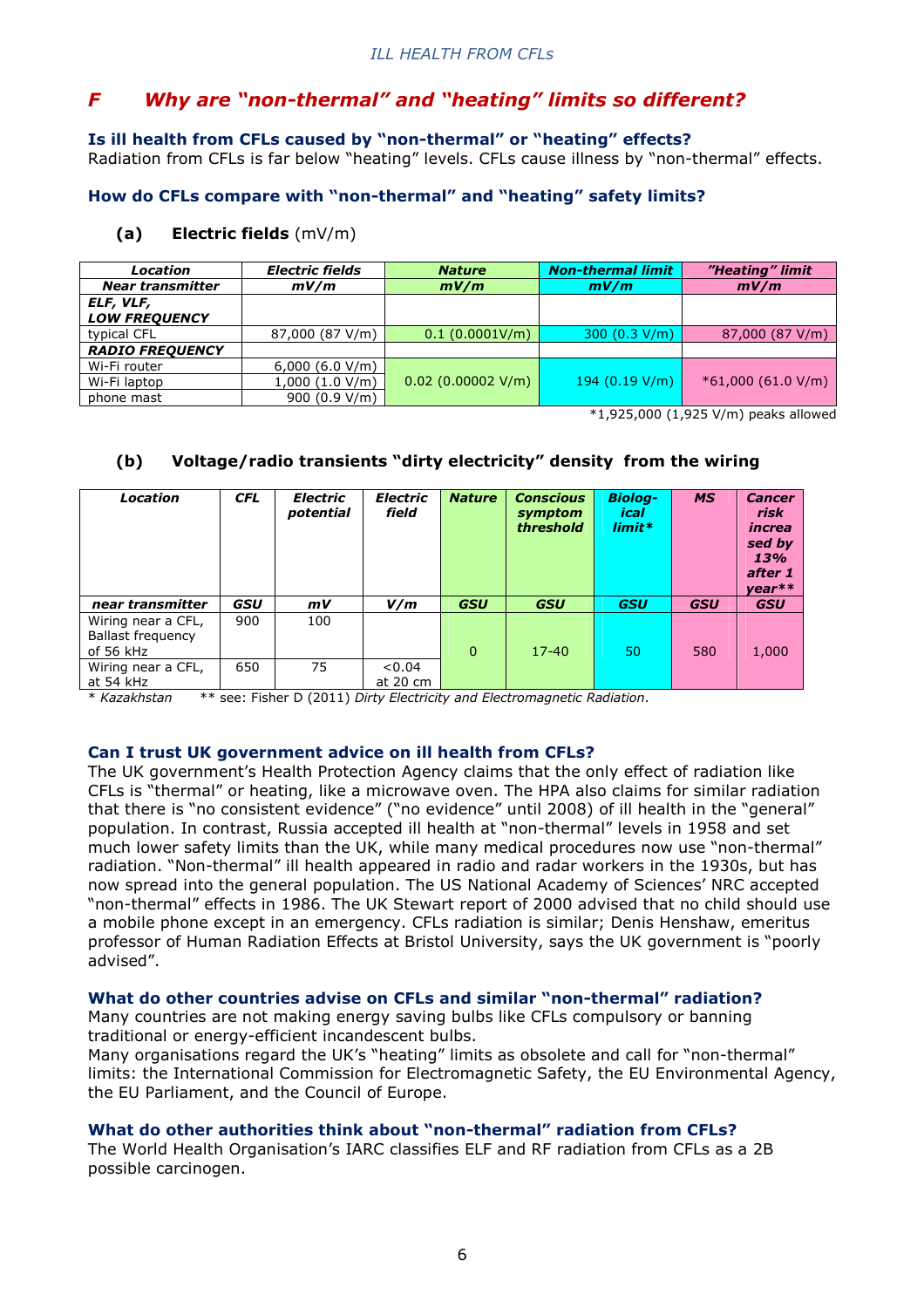# *F Why are "non-thermal" and "heating" limits so different?*

# **Is ill health from CFLs caused by "non-thermal" or "heating" effects?**

Radiation from CFLs is far below "heating" levels. CFLs cause illness by "non-thermal" effects.

# **How do CFLs compare with "non-thermal" and "heating" safety limits?**

# **(a) Electric fields** (mV/m)

| Location                | <b>Electric fields</b> | <b>Nature</b>        | <b>Non-thermal limit</b> | "Heating" limit     |  |
|-------------------------|------------------------|----------------------|--------------------------|---------------------|--|
| <b>Near transmitter</b> | mV/m                   | mV/m                 | mV/m                     | mV/m                |  |
| ELF, VLF,               |                        |                      |                          |                     |  |
| <b>LOW FREQUENCY</b>    |                        |                      |                          |                     |  |
| typical CFL             | 87,000 (87 V/m)        | 0.1(0.0001V/m)       | 300 (0.3 V/m)            | 87,000 (87 V/m)     |  |
| <b>RADIO FREQUENCY</b>  |                        |                      |                          |                     |  |
| Wi-Fi router            | 6,000(6.0 V/m)         |                      |                          |                     |  |
| Wi-Fi laptop            | 1,000(1.0 V/m)         | $0.02$ (0.00002 V/m) | 194 $(0.19 V/m)$         | $*61,000(61.0 V/m)$ |  |
| phone mast              | 900(0.9 V/m)           |                      |                          |                     |  |

\*1,925,000 (1,925 V/m) peaks allowed

# **(b) Voltage/radio transients "dirty electricity" density from the wiring**

| Location                                                    | <b>CFL</b> | Electric<br>potential | <b>Electric</b><br>field | <b>Nature</b> | <b>Conscious</b><br>symptom<br>threshold | <b>Biolog-</b><br><b>ical</b><br>$limit*$ | <b>MS</b>  | <b>Cancer</b><br>risk<br>increa<br>sed by<br>13%<br>after 1<br>$year**$ |
|-------------------------------------------------------------|------------|-----------------------|--------------------------|---------------|------------------------------------------|-------------------------------------------|------------|-------------------------------------------------------------------------|
| near transmitter                                            | GSU        | mV                    | V/m                      | <b>GSU</b>    | <b>GSU</b>                               | <b>GSU</b>                                | <b>GSU</b> | <b>GSU</b>                                                              |
| Wiring near a CFL,<br><b>Ballast frequency</b><br>of 56 kHz | 900        | 100                   |                          | 0             | $17 - 40$                                | 50                                        | 580        | 1,000                                                                   |
| Wiring near a CFL,<br>at 54 kHz                             | 650        | 75                    | 0.04<br>at 20 cm         |               |                                          |                                           |            |                                                                         |

\* *Kazakhstan* \*\* see: Fisher D (2011) *Dirty Electricity and Electromagnetic Radiation*.

# **Can I trust UK government advice on ill health from CFLs?**

The UK government's Health Protection Agency claims that the only effect of radiation like CFLs is "thermal" or heating, like a microwave oven. The HPA also claims for similar radiation that there is "no consistent evidence" ("no evidence" until 2008) of ill health in the "general" population. In contrast, Russia accepted ill health at "non-thermal" levels in 1958 and set much lower safety limits than the UK, while many medical procedures now use "non-thermal" radiation. "Non-thermal" ill health appeared in radio and radar workers in the 1930s, but has now spread into the general population. The US National Academy of Sciences' NRC accepted "non-thermal" effects in 1986. The UK Stewart report of 2000 advised that no child should use a mobile phone except in an emergency. CFLs radiation is similar; Denis Henshaw, emeritus professor of Human Radiation Effects at Bristol University, says the UK government is "poorly advised".

# **What do other countries advise on CFLs and similar "non-thermal" radiation?**

Many countries are not making energy saving bulbs like CFLs compulsory or banning traditional or energy-efficient incandescent bulbs.

Many organisations regard the UK's "heating" limits as obsolete and call for "non-thermal" limits: the International Commission for Electromagnetic Safety, the EU Environmental Agency, the EU Parliament, and the Council of Europe.

### **What do other authorities think about "non-thermal" radiation from CFLs?**

The World Health Organisation's IARC classifies ELF and RF radiation from CFLs as a 2B possible carcinogen.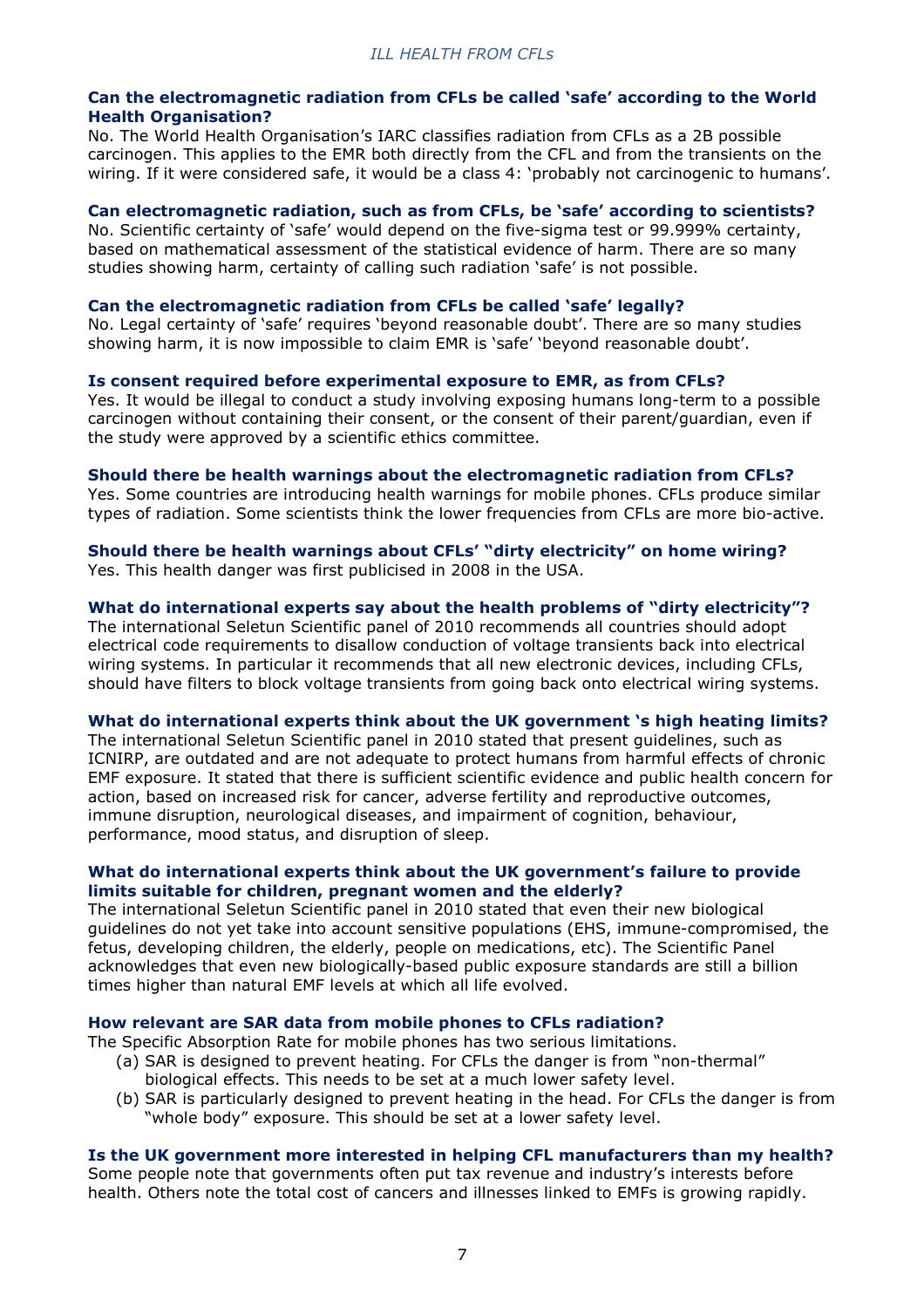#### **Can the electromagnetic radiation from CFLs be called 'safe' according to the World Health Organisation?**

No. The World Health Organisation's IARC classifies radiation from CFLs as a 2B possible carcinogen. This applies to the EMR both directly from the CFL and from the transients on the wiring. If it were considered safe, it would be a class 4: 'probably not carcinogenic to humans'.

### **Can electromagnetic radiation, such as from CFLs, be 'safe' according to scientists?**

No. Scientific certainty of 'safe' would depend on the five-sigma test or 99.999% certainty, based on mathematical assessment of the statistical evidence of harm. There are so many studies showing harm, certainty of calling such radiation 'safe' is not possible.

#### **Can the electromagnetic radiation from CFLs be called 'safe' legally?**

No. Legal certainty of 'safe' requires 'beyond reasonable doubt'. There are so many studies showing harm, it is now impossible to claim EMR is 'safe' 'beyond reasonable doubt'.

**Is consent required before experimental exposure to EMR, as from CFLs?**  Yes. It would be illegal to conduct a study involving exposing humans long-term to a possible carcinogen without containing their consent, or the consent of their parent/guardian, even if the study were approved by a scientific ethics committee.

### **Should there be health warnings about the electromagnetic radiation from CFLs?**  Yes. Some countries are introducing health warnings for mobile phones. CFLs produce similar

types of radiation. Some scientists think the lower frequencies from CFLs are more bio-active.

### **Should there be health warnings about CFLs' "dirty electricity" on home wiring?**  Yes. This health danger was first publicised in 2008 in the USA.

# **What do international experts say about the health problems of "dirty electricity"?**

The international Seletun Scientific panel of 2010 recommends all countries should adopt electrical code requirements to disallow conduction of voltage transients back into electrical wiring systems. In particular it recommends that all new electronic devices, including CFLs, should have filters to block voltage transients from going back onto electrical wiring systems.

#### **What do international experts think about the UK government 's high heating limits?**

The international Seletun Scientific panel in 2010 stated that present guidelines, such as ICNIRP, are outdated and are not adequate to protect humans from harmful effects of chronic EMF exposure. It stated that there is sufficient scientific evidence and public health concern for action, based on increased risk for cancer, adverse fertility and reproductive outcomes, immune disruption, neurological diseases, and impairment of cognition, behaviour, performance, mood status, and disruption of sleep.

# **What do international experts think about the UK government's failure to provide limits suitable for children, pregnant women and the elderly?**

The international Seletun Scientific panel in 2010 stated that even their new biological guidelines do not yet take into account sensitive populations (EHS, immune-compromised, the fetus, developing children, the elderly, people on medications, etc). The Scientific Panel acknowledges that even new biologically-based public exposure standards are still a billion times higher than natural EMF levels at which all life evolved.

#### **How relevant are SAR data from mobile phones to CFLs radiation?**

The Specific Absorption Rate for mobile phones has two serious limitations.

- (a) SAR is designed to prevent heating. For CFLs the danger is from "non-thermal" biological effects. This needs to be set at a much lower safety level.
- (b) SAR is particularly designed to prevent heating in the head. For CFLs the danger is from "whole body" exposure. This should be set at a lower safety level.

#### **Is the UK government more interested in helping CFL manufacturers than my health?**

Some people note that governments often put tax revenue and industry's interests before health. Others note the total cost of cancers and illnesses linked to EMFs is growing rapidly.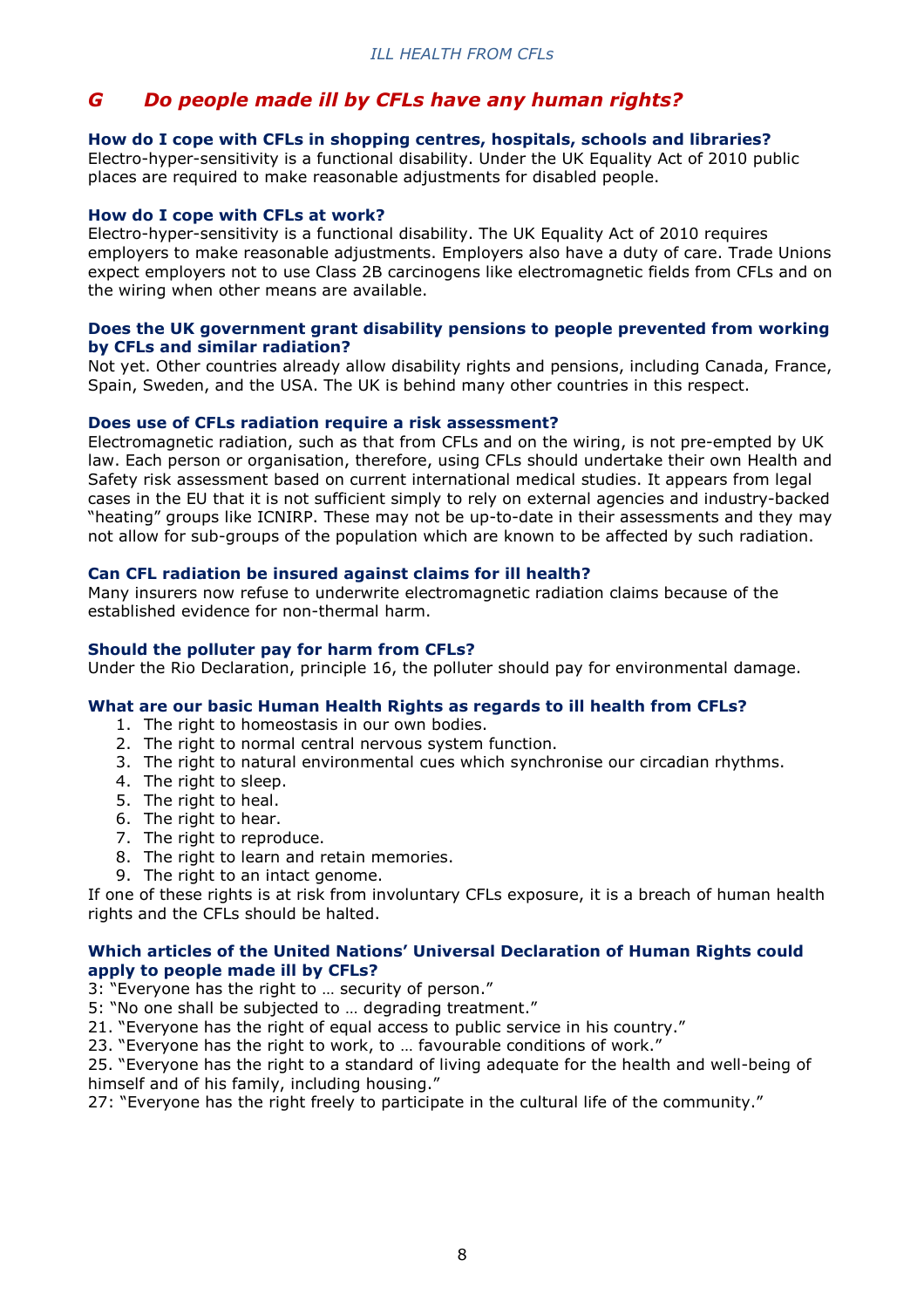# *G Do people made ill by CFLs have any human rights?*

#### **How do I cope with CFLs in shopping centres, hospitals, schools and libraries?**

Electro-hyper-sensitivity is a functional disability. Under the UK Equality Act of 2010 public places are required to make reasonable adjustments for disabled people.

#### **How do I cope with CFLs at work?**

Electro-hyper-sensitivity is a functional disability. The UK Equality Act of 2010 requires employers to make reasonable adjustments. Employers also have a duty of care. Trade Unions expect employers not to use Class 2B carcinogens like electromagnetic fields from CFLs and on the wiring when other means are available.

#### **Does the UK government grant disability pensions to people prevented from working by CFLs and similar radiation?**

Not yet. Other countries already allow disability rights and pensions, including Canada, France, Spain, Sweden, and the USA. The UK is behind many other countries in this respect.

# **Does use of CFLs radiation require a risk assessment?**

Electromagnetic radiation, such as that from CFLs and on the wiring, is not pre-empted by UK law. Each person or organisation, therefore, using CFLs should undertake their own Health and Safety risk assessment based on current international medical studies. It appears from legal cases in the EU that it is not sufficient simply to rely on external agencies and industry-backed "heating" groups like ICNIRP. These may not be up-to-date in their assessments and they may not allow for sub-groups of the population which are known to be affected by such radiation.

# **Can CFL radiation be insured against claims for ill health?**

Many insurers now refuse to underwrite electromagnetic radiation claims because of the established evidence for non-thermal harm.

# **Should the polluter pay for harm from CFLs?**

Under the Rio Declaration, principle 16, the polluter should pay for environmental damage.

#### **What are our basic Human Health Rights as regards to ill health from CFLs?**

- 1. The right to homeostasis in our own bodies.
- 2. The right to normal central nervous system function.
- 3. The right to natural environmental cues which synchronise our circadian rhythms.
- 4. The right to sleep.
- 5. The right to heal.
- 6. The right to hear.
- 7. The right to reproduce.
- 8. The right to learn and retain memories.
- 9. The right to an intact genome.

If one of these rights is at risk from involuntary CFLs exposure, it is a breach of human health rights and the CFLs should be halted.

#### **Which articles of the United Nations' Universal Declaration of Human Rights could apply to people made ill by CFLs?**

3: "Everyone has the right to … security of person."

5: "No one shall be subjected to … degrading treatment."

21. "Everyone has the right of equal access to public service in his country."

23. "Everyone has the right to work, to … favourable conditions of work."

25. "Everyone has the right to a standard of living adequate for the health and well-being of himself and of his family, including housing."

27: "Everyone has the right freely to participate in the cultural life of the community."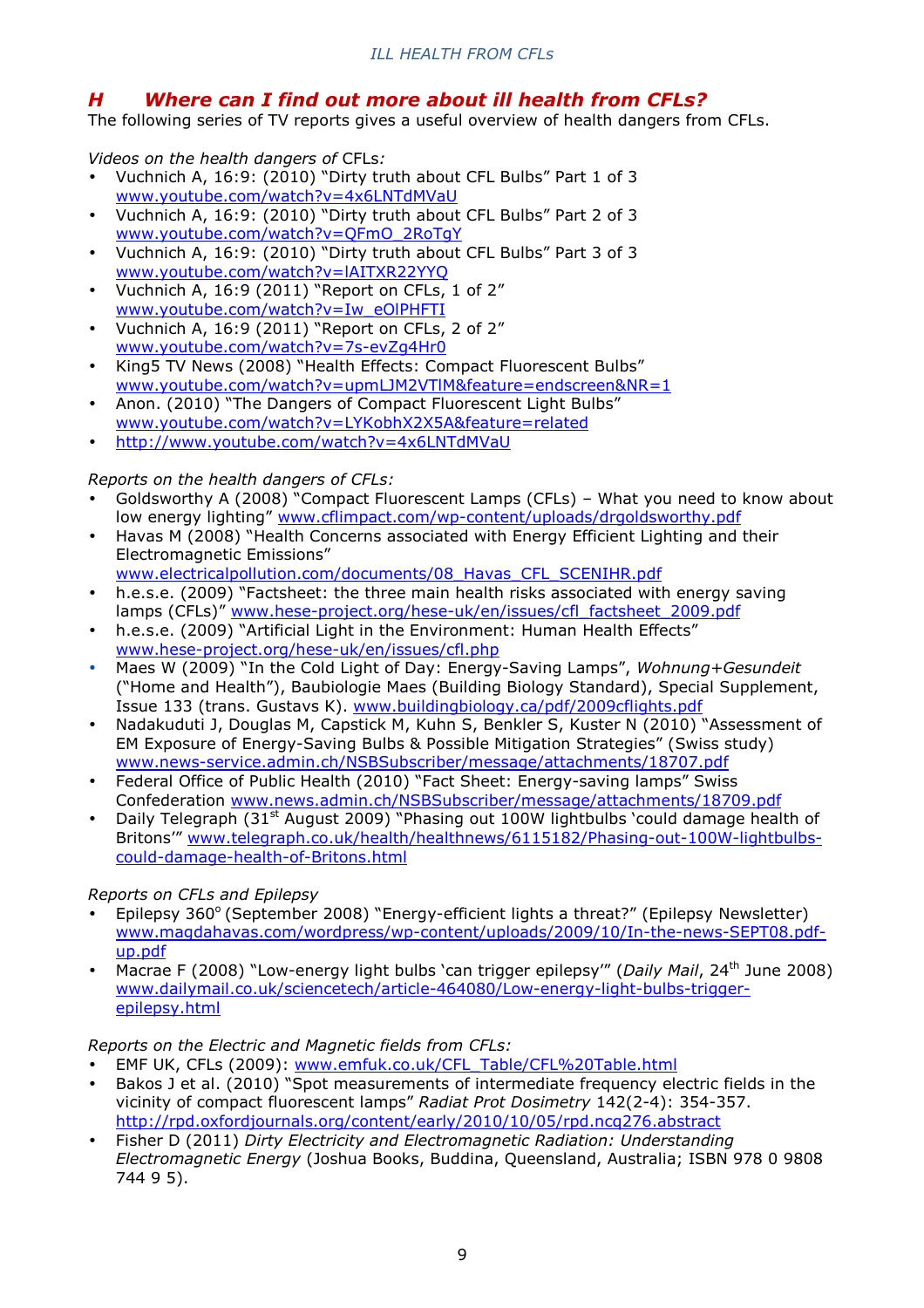# *H Where can I find out more about ill health from CFLs?*

The following series of TV reports gives a useful overview of health dangers from CFLs.

*Videos on the health dangers of* CFLs*:* 

- Vuchnich A, 16:9: (2010) "Dirty truth about CFL Bulbs" Part 1 of 3 www.youtube.com/watch?v=4x6LNTdMVaU
- Vuchnich A, 16:9: (2010) "Dirty truth about CFL Bulbs" Part 2 of 3 www.youtube.com/watch?v=QFmO\_2RoTgY
- Vuchnich A, 16:9: (2010) "Dirty truth about CFL Bulbs" Part 3 of 3 www.youtube.com/watch?v=lAITXR22YYQ
- Vuchnich A, 16:9 (2011) "Report on CFLs, 1 of 2" www.youtube.com/watch?v=Iw\_eOlPHFTI
- Vuchnich A, 16:9 (2011) "Report on CFLs, 2 of 2" www.youtube.com/watch?v=7s-evZg4Hr0
- King5 TV News (2008) "Health Effects: Compact Fluorescent Bulbs" www.youtube.com/watch?v=upmLJM2VTlM&feature=endscreen&NR=1
- Anon. (2010) "The Dangers of Compact Fluorescent Light Bulbs" www.youtube.com/watch?v=LYKobhX2X5A&feature=related
- http://www.youtube.com/watch?v=4x6LNTdMVaU

# *Reports on the health dangers of CFLs:*

- Goldsworthy A (2008) "Compact Fluorescent Lamps (CFLs) What you need to know about low energy lighting" www.cflimpact.com/wp-content/uploads/drgoldsworthy.pdf
- Havas M (2008) "Health Concerns associated with Energy Efficient Lighting and their Electromagnetic Emissions" www.electricalpollution.com/documents/08\_Havas\_CFL\_SCENIHR.pdf
- h.e.s.e. (2009) "Factsheet: the three main health risks associated with energy saving lamps (CFLs)" www.hese-project.org/hese-uk/en/issues/cfl\_factsheet\_2009.pdf
- h.e.s.e. (2009) "Artificial Light in the Environment: Human Health Effects" www.hese-project.org/hese-uk/en/issues/cfl.php
- Maes W (2009) "In the Cold Light of Day: Energy-Saving Lamps", *Wohnung+Gesundeit* ("Home and Health"), Baubiologie Maes (Building Biology Standard), Special Supplement, Issue 133 (trans. Gustavs K). www.buildingbiology.ca/pdf/2009cflights.pdf
- Nadakuduti J, Douglas M, Capstick M, Kuhn S, Benkler S, Kuster N (2010) "Assessment of EM Exposure of Energy-Saving Bulbs & Possible Mitigation Strategies" (Swiss study) www.news-service.admin.ch/NSBSubscriber/message/attachments/18707.pdf
- Federal Office of Public Health (2010) "Fact Sheet: Energy-saving lamps" Swiss Confederation www.news.admin.ch/NSBSubscriber/message/attachments/18709.pdf
- Daily Telegraph (31<sup>st</sup> August 2009) "Phasing out 100W lightbulbs 'could damage health of Britons'" www.telegraph.co.uk/health/healthnews/6115182/Phasing-out-100W-lightbulbscould-damage-health-of-Britons.html

# *Reports on CFLs and Epilepsy*

- Epilepsy 360° (September 2008) "Energy-efficient lights a threat?" (Epilepsy Newsletter) www.magdahavas.com/wordpress/wp-content/uploads/2009/10/In-the-news-SEPT08.pdfup.pdf
- Macrae F (2008) "Low-energy light bulbs 'can trigger epilepsy'" (*Daily Mail*, 24th June 2008) www.dailymail.co.uk/sciencetech/article-464080/Low-energy-light-bulbs-triggerepilepsy.html

# *Reports on the Electric and Magnetic fields from CFLs:*

- EMF UK, CFLs (2009): www.emfuk.co.uk/CFL\_Table/CFL%20Table.html
- Bakos J et al. (2010) "Spot measurements of intermediate frequency electric fields in the vicinity of compact fluorescent lamps" *Radiat Prot Dosimetry* 142(2-4): 354-357. http://rpd.oxfordjournals.org/content/early/2010/10/05/rpd.ncq276.abstract
- Fisher D (2011) *Dirty Electricity and Electromagnetic Radiation: Understanding Electromagnetic Energy* (Joshua Books, Buddina, Queensland, Australia; ISBN 978 0 9808 744 9 5).